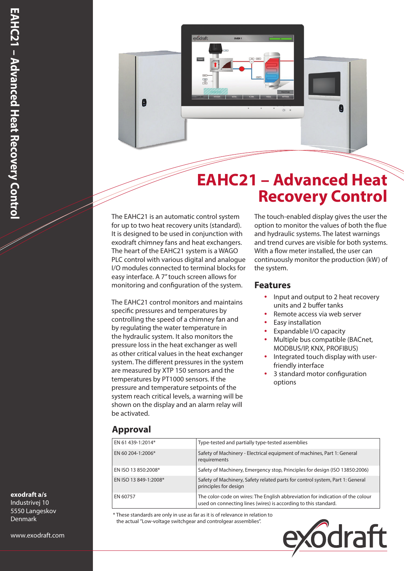

## **EAHC21 – Advanced Heat Recovery Control**

The EAHC21 is an automatic control system for up to two heat recovery units (standard). It is designed to be used in conjunction with exodraft chimney fans and heat exchangers. The heart of the EAHC21 system is a WAGO PLC control with various digital and analogue I/O modules connected to terminal blocks for easy interface. A 7" touch screen allows for monitoring and configuration of the system.

The EAHC21 control monitors and maintains specific pressures and temperatures by controlling the speed of a chimney fan and by regulating the water temperature in the hydraulic system. It also monitors the pressure loss in the heat exchanger as well as other critical values in the heat exchanger system. The different pressures in the system are measured by XTP 150 sensors and the temperatures by PT1000 sensors. If the pressure and temperature setpoints of the system reach critical levels, a warning will be shown on the display and an alarm relay will be activated.

The touch-enabled display gives the user the option to monitor the values of both the flue and hydraulic systems. The latest warnings and trend curves are visible for both systems. With a flow meter installed, the user can continuously monitor the production (kW) of the system.

## **Features**

- Input and output to 2 heat recovery units and 2 buffer tanks
- Remote access via web server
- Easy installation
- y Expandable I/O capacity
- Multiple bus compatible (BACnet, MODBUS/IP, KNX, PROFIBUS)
- Integrated touch display with userfriendly interface
- 3 standard motor configuration options

## **Approval**

| EN 61 439-1:2014*     | Type-tested and partially type-tested assemblies                                                                                                  |
|-----------------------|---------------------------------------------------------------------------------------------------------------------------------------------------|
| EN 60 204-1:2006*     | Safety of Machinery - Electrical equipment of machines, Part 1: General<br>requirements                                                           |
| EN ISO 13 850:2008*   | Safety of Machinery, Emergency stop, Principles for design (ISO 13850:2006)                                                                       |
| EN ISO 13 849-1:2008* | Safety of Machinery, Safety related parts for control system, Part 1: General<br>principles for design                                            |
| EN 60757              | The color-code on wires: The English abbreviation for indication of the colour<br>used on connecting lines (wires) is according to this standard. |

\* These standards are only in use as far as it is of relevance in relation to the actual "Low-voltage switchgear and controlgear assemblies".



### **exodraft a/s**

Industrivej 10 5550 Langeskov Denmark

www.exodraft.com